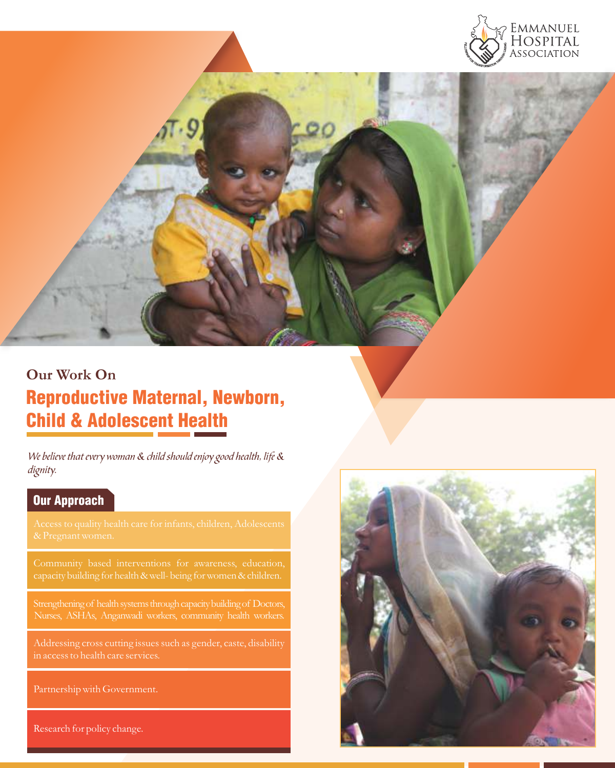

# **Our Work On** Reproductive Maternal, Newborn, Child & Adolescent Health

We believe that every woman & child should enjoy good health, life & dignity.

# Our Approach

in access to health care services.

Partnership with Government.

Research for policy change.